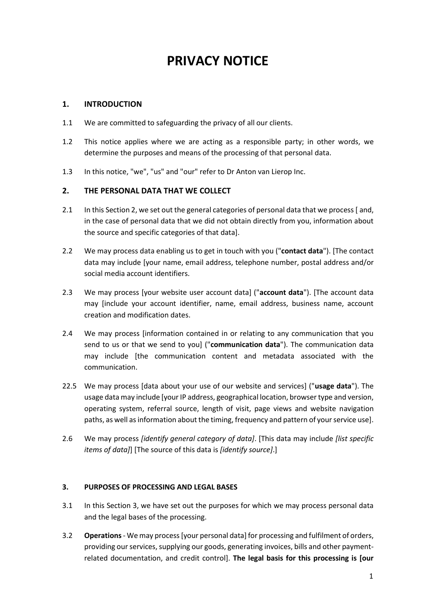# **PRIVACY NOTICE**

## **1. INTRODUCTION**

- 1.1 We are committed to safeguarding the privacy of all our clients.
- 1.2 This notice applies where we are acting as a responsible party; in other words, we determine the purposes and means of the processing of that personal data.
- 1.3 In this notice, "we", "us" and "our" refer to Dr Anton van Lierop Inc.

## **2. THE PERSONAL DATA THAT WE COLLECT**

- 2.1 In this Section 2, we set out the general categories of personal data that we process [and, in the case of personal data that we did not obtain directly from you, information about the source and specific categories of that data].
- 2.2 We may process data enabling us to get in touch with you ("**contact data**"). [The contact data may include [your name, email address, telephone number, postal address and/or social media account identifiers.
- 2.3 We may process [your website user account data] ("**account data**"). [The account data may [include your account identifier, name, email address, business name, account creation and modification dates.
- 2.4 We may process [information contained in or relating to any communication that you send to us or that we send to you] ("**communication data**"). The communication data may include [the communication content and metadata associated with the communication.
- 22.5 We may process [data about your use of our website and services] ("**usage data**"). The usage data may include [your IP address, geographical location, browser type and version, operating system, referral source, length of visit, page views and website navigation paths, as well as information about the timing, frequency and pattern of your service use].
- 2.6 We may process *[identify general category of data]*. [This data may include *[list specific items of data]*] [The source of this data is *[identify source]*.]

## **3. PURPOSES OF PROCESSING AND LEGAL BASES**

- 3.1 In this Section 3, we have set out the purposes for which we may process personal data and the legal bases of the processing.
- 3.2 **Operations**  We may process [your personal data] for processing and fulfilment of orders, providing our services, supplying our goods, generating invoices, bills and other paymentrelated documentation, and credit control]. **The legal basis for this processing is [our**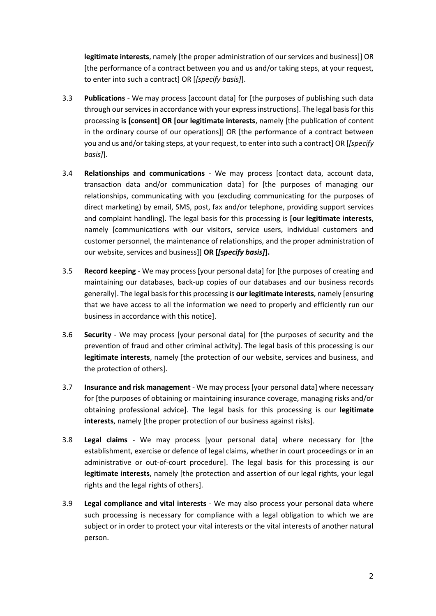**legitimate interests**, namely [the proper administration of our services and business]] OR [the performance of a contract between you and us and/or taking steps, at your request, to enter into such a contract] OR [*[specify basis]*].

- 3.3 **Publications**  We may process [account data] for [the purposes of publishing such data through our services in accordance with your express instructions]. The legal basis for this processing **is [consent] OR [our legitimate interests**, namely [the publication of content in the ordinary course of our operations]] OR [the performance of a contract between you and us and/or taking steps, at your request, to enter into such a contract] OR [*[specify basis]*].
- 3.4 **Relationships and communications** We may process [contact data, account data, transaction data and/or communication data] for [the purposes of managing our relationships, communicating with you (excluding communicating for the purposes of direct marketing) by email, SMS, post, fax and/or telephone, providing support services and complaint handling]. The legal basis for this processing is **[our legitimate interests**, namely [communications with our visitors, service users, individual customers and customer personnel, the maintenance of relationships, and the proper administration of our website, services and business]] **OR [***[specify basis]***].**
- 3.5 **Record keeping**  We may process [your personal data] for [the purposes of creating and maintaining our databases, back-up copies of our databases and our business records generally]. The legal basis for this processing is **our legitimate interests**, namely [ensuring that we have access to all the information we need to properly and efficiently run our business in accordance with this notice].
- 3.6 **Security**  We may process [your personal data] for [the purposes of security and the prevention of fraud and other criminal activity]. The legal basis of this processing is our **legitimate interests**, namely [the protection of our website, services and business, and the protection of others].
- 3.7 **Insurance and risk management** We may process [your personal data] where necessary for [the purposes of obtaining or maintaining insurance coverage, managing risks and/or obtaining professional advice]. The legal basis for this processing is our **legitimate interests**, namely [the proper protection of our business against risks].
- 3.8 **Legal claims** We may process [your personal data] where necessary for [the establishment, exercise or defence of legal claims, whether in court proceedings or in an administrative or out-of-court procedure]. The legal basis for this processing is our **legitimate interests**, namely [the protection and assertion of our legal rights, your legal rights and the legal rights of others].
- 3.9 **Legal compliance and vital interests** We may also process your personal data where such processing is necessary for compliance with a legal obligation to which we are subject or in order to protect your vital interests or the vital interests of another natural person.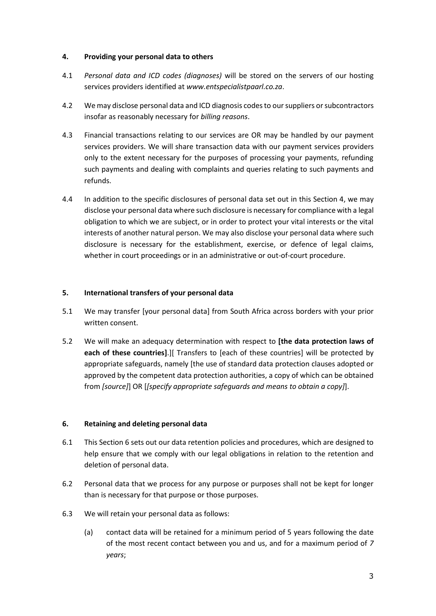#### **4. Providing your personal data to others**

- 4.1 *Personal data and ICD codes (diagnoses)* will be stored on the servers of our hosting services providers identified at *www.entspecialistpaarl.co.za*.
- 4.2 We may disclose personal data and ICD diagnosis codesto our suppliers or subcontractors insofar as reasonably necessary for *billing reasons*.
- 4.3 Financial transactions relating to our services are OR may be handled by our payment services providers. We will share transaction data with our payment services providers only to the extent necessary for the purposes of processing your payments, refunding such payments and dealing with complaints and queries relating to such payments and refunds.
- 4.4 In addition to the specific disclosures of personal data set out in this Section 4, we may disclose your personal data where such disclosure is necessary for compliance with a legal obligation to which we are subject, or in order to protect your vital interests or the vital interests of another natural person. We may also disclose your personal data where such disclosure is necessary for the establishment, exercise, or defence of legal claims, whether in court proceedings or in an administrative or out-of-court procedure.

#### **5. International transfers of your personal data**

- 5.1 We may transfer [your personal data] from South Africa across borders with your prior written consent.
- 5.2 We will make an adequacy determination with respect to **[the data protection laws of each of these countries]**.][ Transfers to [each of these countries] will be protected by appropriate safeguards, namely [the use of standard data protection clauses adopted or approved by the competent data protection authorities, a copy of which can be obtained from *[source]*] OR [*[specify appropriate safeguards and means to obtain a copy]*].

## **6. Retaining and deleting personal data**

- 6.1 This Section 6 sets out our data retention policies and procedures, which are designed to help ensure that we comply with our legal obligations in relation to the retention and deletion of personal data.
- 6.2 Personal data that we process for any purpose or purposes shall not be kept for longer than is necessary for that purpose or those purposes.
- 6.3 We will retain your personal data as follows:
	- (a) contact data will be retained for a minimum period of 5 years following the date of the most recent contact between you and us, and for a maximum period of *7 years*;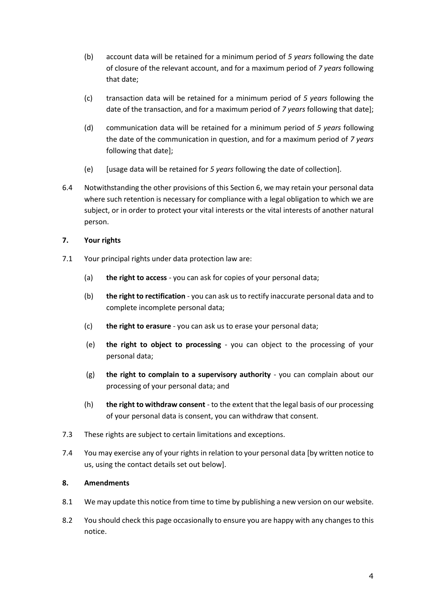- (b) account data will be retained for a minimum period of *5 years* following the date of closure of the relevant account, and for a maximum period of *7 years* following that date;
- (c) transaction data will be retained for a minimum period of *5 years* following the date of the transaction, and for a maximum period of *7 years* following that date];
- (d) communication data will be retained for a minimum period of *5 years* following the date of the communication in question, and for a maximum period of *7 years*  following that date];
- (e) [usage data will be retained for *5 years* following the date of collection].
- 6.4 Notwithstanding the other provisions of this Section 6, we may retain your personal data where such retention is necessary for compliance with a legal obligation to which we are subject, or in order to protect your vital interests or the vital interests of another natural person.

## **7. Your rights**

- 7.1 Your principal rights under data protection law are:
	- (a) **the right to access** you can ask for copies of your personal data;
	- (b) **the right to rectification** you can ask us to rectify inaccurate personal data and to complete incomplete personal data;
	- (c) **the right to erasure** you can ask us to erase your personal data;
	- (e) **the right to object to processing** you can object to the processing of your personal data;
	- (g) **the right to complain to a supervisory authority** you can complain about our processing of your personal data; and
	- (h) **the right to withdraw consent** to the extent that the legal basis of our processing of your personal data is consent, you can withdraw that consent.
- 7.3 These rights are subject to certain limitations and exceptions.
- 7.4 You may exercise any of your rights in relation to your personal data [by written notice to us, using the contact details set out below].

## **8. Amendments**

- 8.1 We may update this notice from time to time by publishing a new version on our website.
- 8.2 You should check this page occasionally to ensure you are happy with any changes to this notice.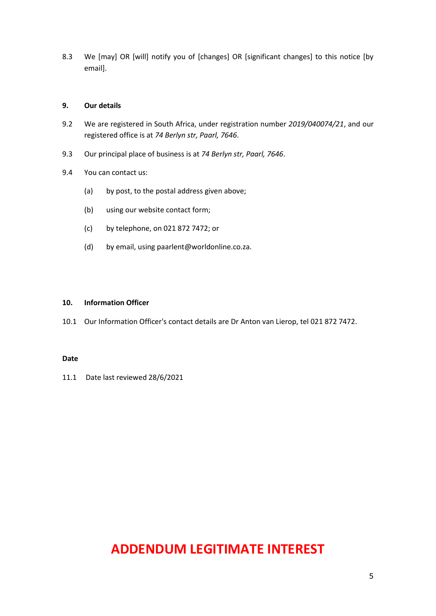8.3 We [may] OR [will] notify you of [changes] OR [significant changes] to this notice [by email].

#### **9. Our details**

- 9.2 We are registered in South Africa, under registration number *2019/040074/21*, and our registered office is at *74 Berlyn str, Paarl, 7646*.
- 9.3 Our principal place of business is at *74 Berlyn str, Paarl, 7646*.
- 9.4 You can contact us:
	- (a) by post, to the postal address given above;
	- (b) using our website contact form;
	- (c) by telephone, on 021 872 7472; or
	- (d) by email, using paarlent@worldonline.co.za.

#### **10. Information Officer**

10.1 Our Information Officer's contact details are Dr Anton van Lierop, tel 021 872 7472.

#### **Date**

11.1 Date last reviewed 28/6/2021

## **ADDENDUM LEGITIMATE INTEREST**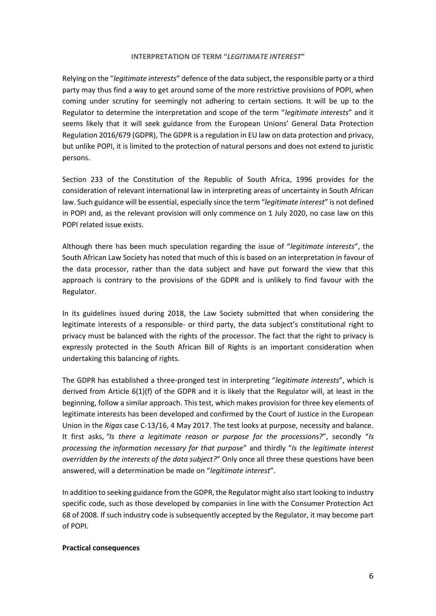#### **INTERPRETATION OF TERM "***LEGITIMATE INTEREST***"**

Relying on the "*legitimate interests*" defence of the data subject, the responsible party or a third party may thus find a way to get around some of the more restrictive provisions of POPI, when coming under scrutiny for seemingly not adhering to certain sections. It will be up to the Regulator to determine the interpretation and scope of the term "*legitimate interests*" and it seems likely that it will seek guidance from the European Unions' General Data Protection Regulation 2016/679 (GDPR), The GDPR is a regulation in EU law on data protection and privacy, but unlike POPI, it is limited to the protection of natural persons and does not extend to juristic persons.

Section 233 of the Constitution of the Republic of South Africa, 1996 provides for the consideration of relevant international law in interpreting areas of uncertainty in South African law. Such guidance will be essential, especially since the term "*legitimate interest*" is not defined in POPI and, as the relevant provision will only commence on 1 July 2020, no case law on this POPI related issue exists.

Although there has been much speculation regarding the issue of "*legitimate interests*", the South African Law Society has noted that much of this is based on an interpretation in favour of the data processor, rather than the data subject and have put forward the view that this approach is contrary to the provisions of the GDPR and is unlikely to find favour with the Regulator.

In its guidelines issued during 2018, the Law Society submitted that when considering the legitimate interests of a responsible- or third party, the data subject's constitutional right to privacy must be balanced with the rights of the processor. The fact that the right to privacy is expressly protected in the South African Bill of Rights is an important consideration when undertaking this balancing of rights.

The GDPR has established a three-pronged test in interpreting "*legitimate interests*", which is derived from Article 6(1)(f) of the GDPR and it is likely that the Regulator will, at least in the beginning, follow a similar approach. This test, which makes provision for three key elements of legitimate interests has been developed and confirmed by the Court of Justice in the European Union in the *Rigas* case C-13/16, 4 May 2017. The test looks at purpose, necessity and balance. It first asks, *"Is there a legitimate reason or purpose for the processions?*", secondly "*Is processing the information necessary for that purpose*" and thirdly "*Is the legitimate interest overridden by the interests of the data subject?*" Only once all three these questions have been answered, will a determination be made on "*legitimate interest*".

In addition to seeking guidance from the GDPR, the Regulator might also start looking to industry specific code, such as those developed by companies in line with the Consumer Protection Act 68 of 2008. If such industry code is subsequently accepted by the Regulator, it may become part of POPI.

#### **Practical consequences**